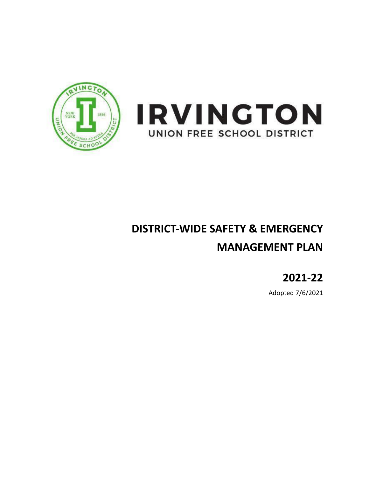



# **DISTRICT-WIDE SAFETY & EMERGENCY MANAGEMENT PLAN**

**2021-22**

Adopted 7/6/2021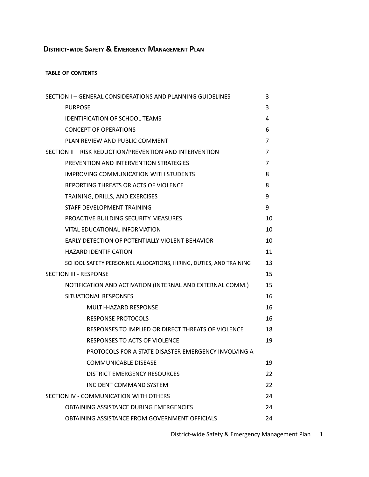# **DISTRICT-WIDE SAFETY & EMERGENCY MANAGEMENT PLAN**

#### **TABLE OF CONTENTS**

| SECTION I - GENERAL CONSIDERATIONS AND PLANNING GUIDELINES        | 3              |
|-------------------------------------------------------------------|----------------|
| <b>PURPOSE</b>                                                    | 3              |
| <b>IDENTIFICATION OF SCHOOL TEAMS</b>                             | 4              |
| <b>CONCEPT OF OPERATIONS</b>                                      | 6              |
| PLAN REVIEW AND PUBLIC COMMENT                                    | 7              |
| SECTION II - RISK REDUCTION/PREVENTION AND INTERVENTION           | $\overline{7}$ |
| PREVENTION AND INTERVENTION STRATEGIES                            | $\overline{7}$ |
| <b>IMPROVING COMMUNICATION WITH STUDENTS</b>                      | 8              |
| REPORTING THREATS OR ACTS OF VIOLENCE                             | 8              |
| TRAINING, DRILLS, AND EXERCISES                                   | 9              |
| STAFF DEVELOPMENT TRAINING                                        | 9              |
| PROACTIVE BUILDING SECURITY MEASURES                              | 10             |
| <b>VITAL EDUCATIONAL INFORMATION</b>                              | 10             |
| EARLY DETECTION OF POTENTIALLY VIOLENT BEHAVIOR                   | 10             |
| <b>HAZARD IDENTIFICATION</b>                                      | 11             |
| SCHOOL SAFETY PERSONNEL ALLOCATIONS, HIRING, DUTIES, AND TRAINING | 13             |
| <b>SECTION III - RESPONSE</b>                                     | 15             |
| NOTIFICATION AND ACTIVATION (INTERNAL AND EXTERNAL COMM.)         | 15             |
| SITUATIONAL RESPONSES                                             | 16             |
| <b>MULTI-HAZARD RESPONSE</b>                                      | 16             |
| <b>RESPONSE PROTOCOLS</b>                                         | 16             |
| RESPONSES TO IMPLIED OR DIRECT THREATS OF VIOLENCE                | 18             |
| <b>RESPONSES TO ACTS OF VIOLENCE</b>                              | 19             |
| PROTOCOLS FOR A STATE DISASTER EMERGENCY INVOLVING A              |                |
| COMMUNICABLE DISEASE                                              | 19             |
| <b>DISTRICT EMERGENCY RESOURCES</b>                               | 22             |
| <b>INCIDENT COMMAND SYSTEM</b>                                    | 22             |
| SECTION IV - COMMUNICATION WITH OTHERS                            | 24             |
| OBTAINING ASSISTANCE DURING EMERGENCIES                           | 24             |
| OBTAINING ASSISTANCE FROM GOVERNMENT OFFICIALS                    | 24             |

District-wide Safety & Emergency Management Plan 1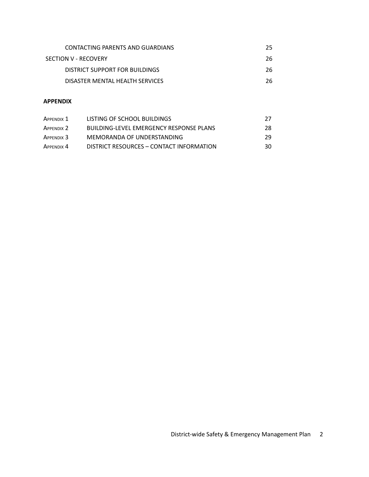| CONTACTING PARENTS AND GUARDIANS | 25 |
|----------------------------------|----|
| SECTION V - RECOVERY             | 26 |
| DISTRICT SUPPORT FOR BUILDINGS   | 26 |
| DISASTER MENTAL HEALTH SERVICES  | 26 |

## **APPENDIX**

| APPENDIX 1 | LISTING OF SCHOOL BUILDINGS                    | 27  |
|------------|------------------------------------------------|-----|
| APPENDIX 2 | <b>BUILDING-LEVEL EMERGENCY RESPONSE PLANS</b> | 28  |
| APPENDIX 3 | MEMORANDA OF UNDERSTANDING                     | -29 |
| APPENDIX 4 | DISTRICT RESOURCES - CONTACT INFORMATION       | 30  |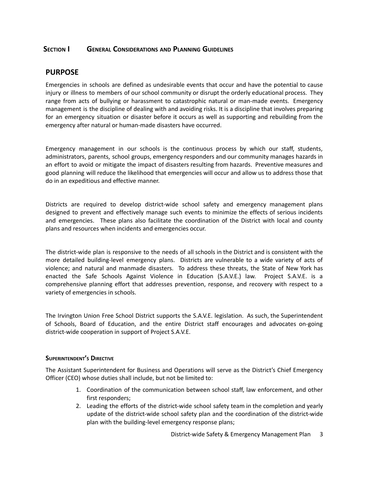## **SECTION I GENERAL CONSIDERATIONS AND PLANNING GUIDELINES**

## **PURPOSE**

Emergencies in schools are defined as undesirable events that occur and have the potential to cause injury or illness to members of our school community or disrupt the orderly educational process. They range from acts of bullying or harassment to catastrophic natural or man-made events. Emergency management is the discipline of dealing with and avoiding risks. It is a discipline that involves preparing for an emergency situation or disaster before it occurs as well as supporting and rebuilding from the emergency after natural or human-made disasters have occurred.

Emergency management in our schools is the continuous process by which our staff, students, administrators, parents, school groups, emergency responders and our community manages hazards in an effort to avoid or mitigate the impact of disasters resulting from hazards. Preventive measures and good planning will reduce the likelihood that emergencies will occur and allow us to address those that do in an expeditious and effective manner.

Districts are required to develop district-wide school safety and emergency management plans designed to prevent and effectively manage such events to minimize the effects of serious incidents and emergencies. These plans also facilitate the coordination of the District with local and county plans and resources when incidents and emergencies occur.

The district-wide plan is responsive to the needs of all schools in the District and is consistent with the more detailed building-level emergency plans. Districts are vulnerable to a wide variety of acts of violence; and natural and manmade disasters. To address these threats, the State of New York has enacted the Safe Schools Against Violence in Education (S.A.V.E.) law. Project S.A.V.E. is a comprehensive planning effort that addresses prevention, response, and recovery with respect to a variety of emergencies in schools.

The Irvington Union Free School District supports the S.A.V.E. legislation. As such, the Superintendent of Schools, Board of Education, and the entire District staff encourages and advocates on-going district-wide cooperation in support of Project S.A.V.E.

#### **SUPERINTENDENT'S DIRECTIVE**

The Assistant Superintendent for Business and Operations will serve as the District's Chief Emergency Officer (CEO) whose duties shall include, but not be limited to:

- 1. Coordination of the communication between school staff, law enforcement, and other first responders;
- 2. Leading the efforts of the district-wide school safety team in the completion and yearly update of the district-wide school safety plan and the coordination of the district-wide plan with the building-level emergency response plans;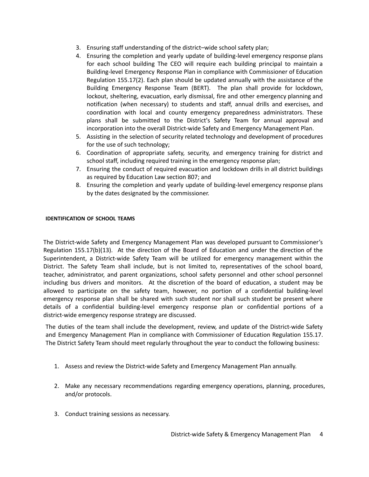- 3. Ensuring staff understanding of the district–wide school safety plan;
- 4. Ensuring the completion and yearly update of building-level emergency response plans for each school building The CEO will require each building principal to maintain a Building-level Emergency Response Plan in compliance with Commissioner of Education Regulation 155.17(2). Each plan should be updated annually with the assistance of the Building Emergency Response Team (BERT). The plan shall provide for lockdown, lockout, sheltering, evacuation, early dismissal, fire and other emergency planning and notification (when necessary) to students and staff, annual drills and exercises, and coordination with local and county emergency preparedness administrators. These plans shall be submitted to the District's Safety Team for annual approval and incorporation into the overall District-wide Safety and Emergency Management Plan.
- 5. Assisting in the selection of security related technology and development of procedures for the use of such technology;
- 6. Coordination of appropriate safety, security, and emergency training for district and school staff, including required training in the emergency response plan;
- 7. Ensuring the conduct of required evacuation and lockdown drills in all district buildings as required by Education Law section 807; and
- 8. Ensuring the completion and yearly update of building-level emergency response plans by the dates designated by the commissioner.

#### **IDENTIFICATION OF SCHOOL TEAMS**

The District-wide Safety and Emergency Management Plan was developed pursuant to Commissioner's Regulation 155.17(b)(13). At the direction of the Board of Education and under the direction of the Superintendent, a District-wide Safety Team will be utilized for emergency management within the District. The Safety Team shall include, but is not limited to, representatives of the school board, teacher, administrator, and parent organizations, school safety personnel and other school personnel including bus drivers and monitors. At the discretion of the board of education, a student may be allowed to participate on the safety team, however, no portion of a confidential building-level emergency response plan shall be shared with such student nor shall such student be present where details of a confidential building-level emergency response plan or confidential portions of a district-wide emergency response strategy are discussed.

The duties of the team shall include the development, review, and update of the District-wide Safety and Emergency Management Plan in compliance with Commissioner of Education Regulation 155.17. The District Safety Team should meet regularly throughout the year to conduct the following business:

- 1. Assess and review the District-wide Safety and Emergency Management Plan annually.
- 2. Make any necessary recommendations regarding emergency operations, planning, procedures, and/or protocols.
- 3. Conduct training sessions as necessary.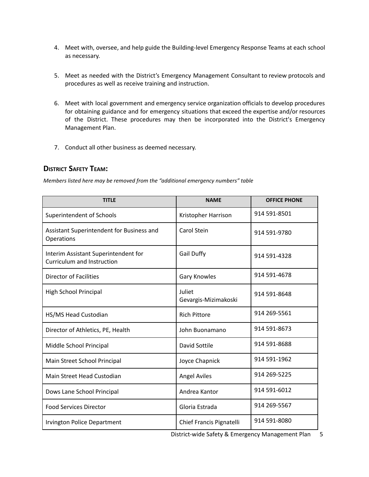- 4. Meet with, oversee, and help guide the Building-level Emergency Response Teams at each school as necessary.
- 5. Meet as needed with the District's Emergency Management Consultant to review protocols and procedures as well as receive training and instruction.
- 6. Meet with local government and emergency service organization officials to develop procedures for obtaining guidance and for emergency situations that exceed the expertise and/or resources of the District. These procedures may then be incorporated into the District's Emergency Management Plan.
- 7. Conduct all other business as deemed necessary.

## **DISTRICT SAFETY TEAM:**

*Members listed here may be removed from the "additional emergency numbers" table*

| <b>TITLE</b>                                                       | <b>NAME</b>                    | <b>OFFICE PHONE</b> |
|--------------------------------------------------------------------|--------------------------------|---------------------|
| Superintendent of Schools                                          | Kristopher Harrison            | 914 591-8501        |
| Assistant Superintendent for Business and<br>Operations            | Carol Stein                    | 914 591-9780        |
| Interim Assistant Superintendent for<br>Curriculum and Instruction | <b>Gail Duffy</b>              | 914 591-4328        |
| <b>Director of Facilities</b>                                      | <b>Gary Knowles</b>            | 914 591-4678        |
| High School Principal                                              | Juliet<br>Gevargis-Mizimakoski | 914 591-8648        |
| HS/MS Head Custodian                                               | <b>Rich Pittore</b>            | 914 269-5561        |
| Director of Athletics, PE, Health                                  | John Buonamano                 | 914 591-8673        |
| Middle School Principal                                            | David Sottile                  | 914 591-8688        |
| Main Street School Principal                                       | Joyce Chapnick                 | 914 591-1962        |
| Main Street Head Custodian                                         | <b>Angel Aviles</b>            | 914 269-5225        |
| Dows Lane School Principal                                         | Andrea Kantor                  | 914 591-6012        |
| <b>Food Services Director</b>                                      | Gloria Estrada                 | 914 269-5567        |
| <b>Irvington Police Department</b>                                 | Chief Francis Pignatelli       | 914 591-8080        |

District-wide Safety & Emergency Management Plan 5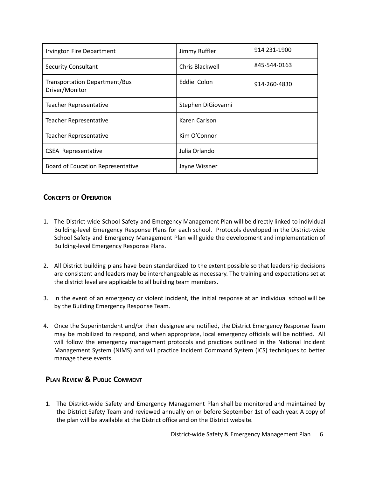| Irvington Fire Department                              | Jimmy Ruffler      | 914 231-1900 |
|--------------------------------------------------------|--------------------|--------------|
| <b>Security Consultant</b>                             | Chris Blackwell    | 845-544-0163 |
| <b>Transportation Department/Bus</b><br>Driver/Monitor | Eddie Colon        | 914-260-4830 |
| <b>Teacher Representative</b>                          | Stephen DiGiovanni |              |
| <b>Teacher Representative</b>                          | Karen Carlson      |              |
| <b>Teacher Representative</b>                          | Kim O'Connor       |              |
| <b>CSEA Representative</b>                             | Julia Orlando      |              |
| Board of Education Representative                      | Jayne Wissner      |              |

## **CONCEPTS OF OPERATION**

- 1. The District-wide School Safety and Emergency Management Plan will be directly linked to individual Building-level Emergency Response Plans for each school. Protocols developed in the District-wide School Safety and Emergency Management Plan will guide the development and implementation of Building-level Emergency Response Plans.
- 2. All District building plans have been standardized to the extent possible so that leadership decisions are consistent and leaders may be interchangeable as necessary. The training and expectations set at the district level are applicable to all building team members.
- 3. In the event of an emergency or violent incident, the initial response at an individual school will be by the Building Emergency Response Team.
- 4. Once the Superintendent and/or their designee are notified, the District Emergency Response Team may be mobilized to respond, and when appropriate, local emergency officials will be notified. All will follow the emergency management protocols and practices outlined in the National Incident Management System (NIMS) and will practice Incident Command System (ICS) techniques to better manage these events.

## **PLAN REVIEW & PUBLIC COMMENT**

1. The District-wide Safety and Emergency Management Plan shall be monitored and maintained by the District Safety Team and reviewed annually on or before September 1st of each year. A copy of the plan will be available at the District office and on the District website.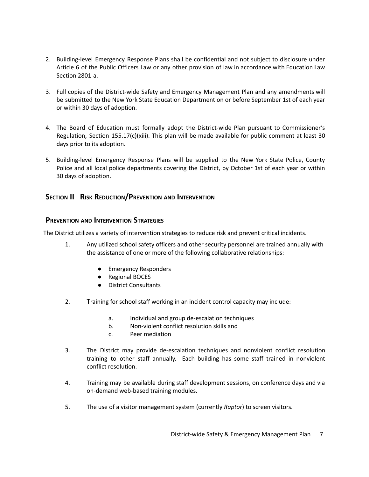- 2. Building-level Emergency Response Plans shall be confidential and not subject to disclosure under Article 6 of the Public Officers Law or any other provision of law in accordance with Education Law Section 2801-a.
- 3. Full copies of the District-wide Safety and Emergency Management Plan and any amendments will be submitted to the New York State Education Department on or before September 1st of each year or within 30 days of adoption.
- 4. The Board of Education must formally adopt the District-wide Plan pursuant to Commissioner's Regulation, Section 155.17(c)(xiii). This plan will be made available for public comment at least 30 days prior to its adoption.
- 5. Building-level Emergency Response Plans will be supplied to the New York State Police, County Police and all local police departments covering the District, by October 1st of each year or within 30 days of adoption.

## **SECTION II RISK REDUCTION/PREVENTION AND INTERVENTION**

## **PREVENTION AND INTERVENTION STRATEGIES**

The District utilizes a variety of intervention strategies to reduce risk and prevent critical incidents.

- 1. Any utilized school safety officers and other security personnel are trained annually with the assistance of one or more of the following collaborative relationships:
	- Emergency Responders
	- Regional BOCES
	- District Consultants
- 2. Training for school staff working in an incident control capacity may include:
	- a. Individual and group de-escalation techniques
	- b. Non-violent conflict resolution skills and
	- c. Peer mediation
- 3. The District may provide de-escalation techniques and nonviolent conflict resolution training to other staff annually. Each building has some staff trained in nonviolent conflict resolution.
- 4. Training may be available during staff development sessions, on conference days and via on-demand web-based training modules.
- 5. The use of a visitor management system (currently *Raptor*) to screen visitors.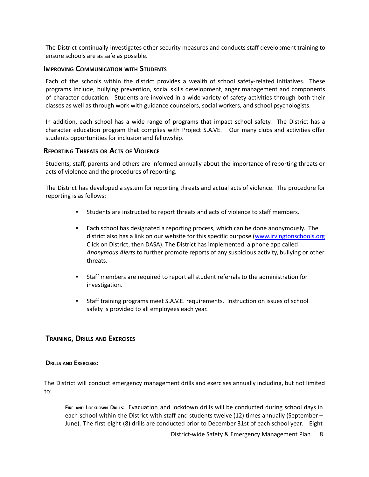The District continually investigates other security measures and conducts staff development training to ensure schools are as safe as possible.

## **IMPROVING COMMUNICATION WITH STUDENTS**

Each of the schools within the district provides a wealth of school safety-related initiatives. These programs include, bullying prevention, social skills development, anger management and components of character education. Students are involved in a wide variety of safety activities through both their classes as well as through work with guidance counselors, social workers, and school psychologists.

In addition, each school has a wide range of programs that impact school safety. The District has a character education program that complies with Project S.A.VE. Our many clubs and activities offer students opportunities for inclusion and fellowship.

### **REPORTING THREATS OR ACTS OF VIOLENCE**

Students, staff, parents and others are informed annually about the importance of reporting threats or acts of violence and the procedures of reporting.

The District has developed a system for reporting threats and actual acts of violence. The procedure for reporting is as follows:

- Students are instructed to report threats and acts of violence to staff members.
- Each school has designated a reporting process, which can be done anonymously. The district also has a link on our website for this specific purpose [\(www.irvingtonschools.org](http://www.irvingtonschools.org) Click on District, then DASA). The District has implemented a phone app called *Anonymous Alerts* to further promote reports of any suspicious activity, bullying or other threats.
- Staff members are required to report all student referrals to the administration for investigation.
- Staff training programs meet S.A.V.E. requirements. Instruction on issues of school safety is provided to all employees each year.

#### **TRAINING, DRILLS AND EXERCISES**

#### **DRILLS AND EXERCISES:**

The District will conduct emergency management drills and exercises annually including, but not limited to:

**FIRE AND LOCKDOWN DRILLS:** Evacuation and lockdown drills will be conducted during school days in each school within the District with staff and students twelve (12) times annually (September – June). The first eight (8) drills are conducted prior to December 31st of each school year. Eight

District-wide Safety & Emergency Management Plan 8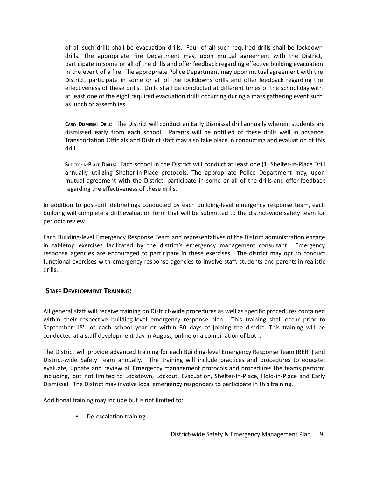of all such drills shall be evacuation drills. Four of all such required drills shall be lockdown drills. The appropriate Fire Department may, upon mutual agreement with the District, participate in some or all of the drills and offer feedback regarding effective building evacuation in the event of a fire. The appropriate Police Department may upon mutual agreement with the District, participate in some or all of the lockdowns drills and offer feedback regarding the effectiveness of these drills. Drills shall be conducted at different times of the school day with at least one of the eight required evacuation drills occurring during a mass gathering event such as lunch or assemblies.

**EARLY DISMISSAL DRILL:** The District will conduct an Early Dismissal drill annually wherein students are dismissed early from each school. Parents will be notified of these drills well in advance. Transportation Officials and District staff may also take place in conducting and evaluation of this drill.

**SHELTER-IN-PLACE DRILLS:** Each school in the District will conduct at least one (1) Shelter-in-Place Drill annually utilizing Shelter-in-Place protocols. The appropriate Police Department may, upon mutual agreement with the District, participate in some or all of the drills and offer feedback regarding the effectiveness of these drills.

In addition to post-drill debriefings conducted by each building-level emergency response team, each building will complete a drill evaluation form that will be submitted to the district-wide safety team for periodic review.

Each Building-level Emergency Response Team and representatives of the District administration engage in tabletop exercises facilitated by the district's emergency management consultant. Emergency response agencies are encouraged to participate in these exercises. The district may opt to conduct functional exercises with emergency response agencies to involve staff, students and parents in realistic drills.

## **STAFF DEVELOPMENT TRAINING:**

All general staff will receive training on District-wide procedures as well as specific procedures contained within their respective building-level emergency response plan. This training shall occur prior to September  $15<sup>th</sup>$  of each school year or within 30 days of joining the district. This training will be conducted at a staff development day in August, online or a combination of both.

The District will provide advanced training for each Building-level Emergency Response Team (BERT) and District-wide Safety Team annually. The training will include practices and procedures to educate, evaluate, update and review all Emergency management protocols and procedures the teams perform including, but not limited to Lockdown, Lockout, Evacuation, Shelter-In-Place, Hold-in-Place and Early Dismissal. The District may involve local emergency responders to participate in this training.

Additional training may include but is not limited to:

▪ De-escalation training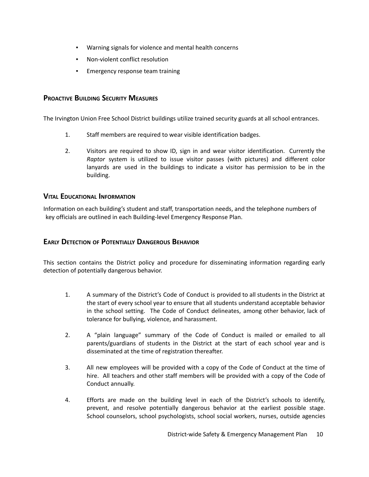- Warning signals for violence and mental health concerns
- Non-violent conflict resolution
- Emergency response team training

## **PROACTIVE BUILDING SECURITY MEASURES**

The Irvington Union Free School District buildings utilize trained security guards at all school entrances.

- 1. Staff members are required to wear visible identification badges.
- 2. Visitors are required to show ID, sign in and wear visitor identification. Currently the *Raptor* system is utilized to issue visitor passes (with pictures) and different color lanyards are used in the buildings to indicate a visitor has permission to be in the building.

## **VITAL EDUCATIONAL INFORMATION**

Information on each building's student and staff, transportation needs, and the telephone numbers of key officials are outlined in each Building-level Emergency Response Plan.

## **EARLY DETECTION OF POTENTIALLY DANGEROUS BEHAVIOR**

This section contains the District policy and procedure for disseminating information regarding early detection of potentially dangerous behavior.

- 1. A summary of the District's Code of Conduct is provided to all students in the District at the start of every school year to ensure that all students understand acceptable behavior in the school setting. The Code of Conduct delineates, among other behavior, lack of tolerance for bullying, violence, and harassment.
- 2. A "plain language" summary of the Code of Conduct is mailed or emailed to all parents/guardians of students in the District at the start of each school year and is disseminated at the time of registration thereafter.
- 3. All new employees will be provided with a copy of the Code of Conduct at the time of hire. All teachers and other staff members will be provided with a copy of the Code of Conduct annually.
- 4. Efforts are made on the building level in each of the District's schools to identify, prevent, and resolve potentially dangerous behavior at the earliest possible stage. School counselors, school psychologists, school social workers, nurses, outside agencies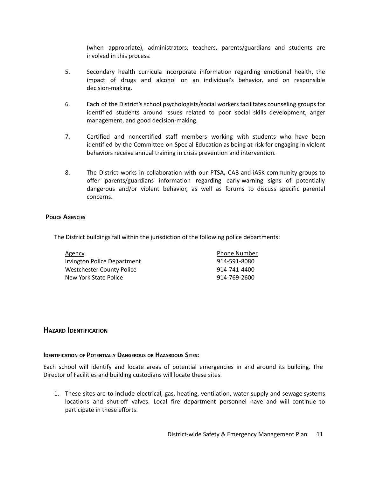(when appropriate), administrators, teachers, parents/guardians and students are involved in this process.

- 5. Secondary health curricula incorporate information regarding emotional health, the impact of drugs and alcohol on an individual's behavior, and on responsible decision-making.
- 6. Each of the District's school psychologists/social workers facilitates counseling groups for identified students around issues related to poor social skills development, anger management, and good decision-making.
- 7. Certified and noncertified staff members working with students who have been identified by the Committee on Special Education as being at-risk for engaging in violent behaviors receive annual training in crisis prevention and intervention.
- 8. The District works in collaboration with our PTSA, CAB and iASK community groups to offer parents/guardians information regarding early-warning signs of potentially dangerous and/or violent behavior, as well as forums to discuss specific parental concerns.

#### **POLICE AGENCIES**

The District buildings fall within the jurisdiction of the following police departments:

| Agency                      | <b>Phone Number</b> |
|-----------------------------|---------------------|
| Irvington Police Department | 914-591-8080        |
| Westchester County Police   | 914-741-4400        |
| New York State Police       | 914-769-2600        |

#### **HAZARD IDENTIFICATION**

#### **IDENTIFICATION OF POTENTIALLY DANGEROUS OR HAZARDOUS SITES:**

Each school will identify and locate areas of potential emergencies in and around its building. The Director of Facilities and building custodians will locate these sites.

1. These sites are to include electrical, gas, heating, ventilation, water supply and sewage systems locations and shut-off valves. Local fire department personnel have and will continue to participate in these efforts.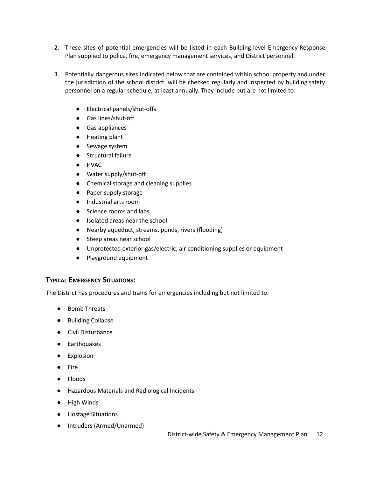- 2. These sites of potential emergencies will be listed in each Building-level Emergency Response Plan supplied to police, fire, emergency management services, and District personnel.
- 3. Potentially dangerous sites indicated below that are contained within school property and under the jurisdiction of the school district, will be checked regularly and inspected by building safety personnel on a regular schedule, at least annually. They include but are not limited to:
	- Electrical panels/shut-offs
	- Gas lines/shut-off
	- Gas appliances
	- Heating plant
	- Sewage system
	- Structural failure
	- HVAC
	- Water supply/shut-off
	- Chemical storage and cleaning supplies
	- Paper supply storage
	- Industrial arts room
	- Science rooms and labs
	- Isolated areas near the school
	- Nearby aqueduct, streams, ponds, rivers (flooding)
	- Steep areas near school
	- Unprotected exterior gas/electric, air conditioning supplies or equipment
	- Playground equipment

## **TYPICAL EMERGENCY SITUATIONS:**

The District has procedures and trains for emergencies including but not limited to:

- Bomb Threats
- Building Collapse
- Civil Disturbance
- Earthquakes
- Explosion
- Fire
- Floods
- Hazardous Materials and Radiological Incidents
- High Winds
- Hostage Situations
- Intruders (Armed/Unarmed)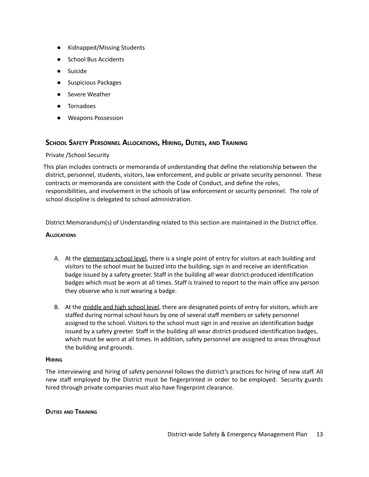- Kidnapped/Missing Students
- **School Bus Accidents**
- Suicide
- Suspicious Packages
- Severe Weather
- **Tornadoes**
- Weapons Possession

## **SCHOOL SAFETY PERSONNEL ALLOCATIONS, HIRING, DUTIES, AND TRAINING**

#### Private /School Security

This plan includes contracts or memoranda of understanding that define the relationship between the district, personnel, students, visitors, law enforcement, and public or private security personnel. These contracts or memoranda are consistent with the Code of Conduct, and define the roles, responsibilities, and involvement in the schools of law enforcement or security personnel. The role of school discipline is delegated to school administration.

District Memorandum(s) of Understanding related to this section are maintained in the District office.

#### **ALLOCATIONS**

- A. At the elementary school level, there is a single point of entry for visitors at each building and visitors to the school must be buzzed into the building, sign in and receive an identification badge issued by a safety greeter. Staff in the building all wear district-produced identification badges which must be worn at all times. Staff is trained to report to the main office any person they observe who is not wearing a badge.
- B. At the middle and high school level, there are designated points of entry for visitors, which are staffed during normal school hours by one of several staff members or safety personnel assigned to the school. Visitors to the school must sign in and receive an identification badge issued by a safety greeter. Staff in the building all wear district-produced identification badges, which must be worn at all times. In addition, safety personnel are assigned to areas throughout the building and grounds.

#### **HIRING**

The interviewing and hiring of safety personnel follows the district's practices for hiring of new staff. All new staff employed by the District must be fingerprinted in order to be employed. Security guards hired through private companies must also have fingerprint clearance.

#### **DUTIES AND TRAINING**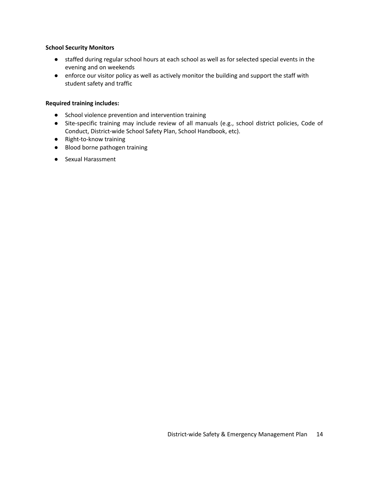#### **School Security Monitors**

- staffed during regular school hours at each school as well as for selected special events in the evening and on weekends
- enforce our visitor policy as well as actively monitor the building and support the staff with student safety and traffic

#### **Required training includes:**

- School violence prevention and intervention training
- Site-specific training may include review of all manuals (e.g., school district policies, Code of Conduct, District-wide School Safety Plan, School Handbook, etc).
- Right-to-know training
- Blood borne pathogen training
- Sexual Harassment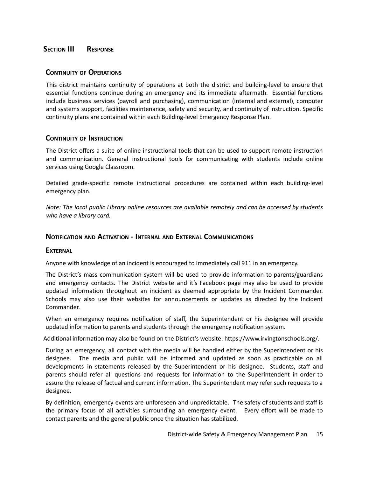## **SECTION III RESPONSE**

## **CONTINUITY OF OPERATIONS**

This district maintains continuity of operations at both the district and building-level to ensure that essential functions continue during an emergency and its immediate aftermath. Essential functions include business services (payroll and purchasing), communication (internal and external), computer and systems support, facilities maintenance, safety and security, and continuity of instruction. Specific continuity plans are contained within each Building-level Emergency Response Plan.

## **CONTINUITY OF INSTRUCTION**

The District offers a suite of online instructional tools that can be used to support remote instruction and communication. General instructional tools for communicating with students include online services using Google Classroom.

Detailed grade-specific remote instructional procedures are contained within each building-level emergency plan.

*Note: The local public Library online resources are available remotely and can be accessed by students who have a library card.*

## **NOTIFICATION AND ACTIVATION - INTERNAL AND EXTERNAL COMMUNICATIONS**

#### **EXTERNAL**

Anyone with knowledge of an incident is encouraged to immediately call 911 in an emergency.

The District's mass communication system will be used to provide information to parents/guardians and emergency contacts. The District website and it's Facebook page may also be used to provide updated information throughout an incident as deemed appropriate by the Incident Commander. Schools may also use their websites for announcements or updates as directed by the Incident Commander.

When an emergency requires notification of staff, the Superintendent or his designee will provide updated information to parents and students through the emergency notification system.

Additional information may also be found on the District's website: https://www.irvingtonschools.org/.

During an emergency, all contact with the media will be handled either by the Superintendent or his designee. The media and public will be informed and updated as soon as practicable on all developments in statements released by the Superintendent or his designee. Students, staff and parents should refer all questions and requests for information to the Superintendent in order to assure the release of factual and current information. The Superintendent may refer such requests to a designee.

By definition, emergency events are unforeseen and unpredictable. The safety of students and staff is the primary focus of all activities surrounding an emergency event. Every effort will be made to contact parents and the general public once the situation has stabilized.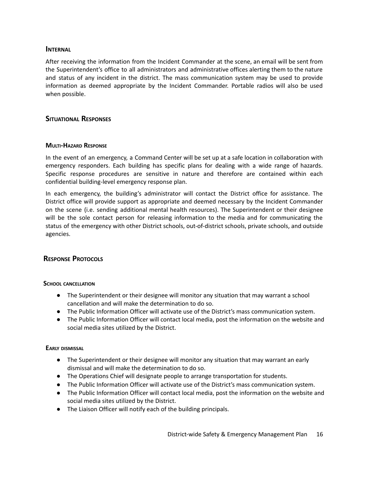## **INTERNAL**

After receiving the information from the Incident Commander at the scene, an email will be sent from the Superintendent's office to all administrators and administrative offices alerting them to the nature and status of any incident in the district. The mass communication system may be used to provide information as deemed appropriate by the Incident Commander. Portable radios will also be used when possible.

## **SITUATIONAL RESPONSES**

#### **MULTI-HAZARD RESPONSE**

In the event of an emergency, a Command Center will be set up at a safe location in collaboration with emergency responders. Each building has specific plans for dealing with a wide range of hazards. Specific response procedures are sensitive in nature and therefore are contained within each confidential building-level emergency response plan.

In each emergency, the building's administrator will contact the District office for assistance. The District office will provide support as appropriate and deemed necessary by the Incident Commander on the scene (i.e. sending additional mental health resources). The Superintendent or their designee will be the sole contact person for releasing information to the media and for communicating the status of the emergency with other District schools, out-of-district schools, private schools, and outside agencies.

## **RESPONSE PROTOCOLS**

#### **SCHOOL CANCELLATION**

- The Superintendent or their designee will monitor any situation that may warrant a school cancellation and will make the determination to do so.
- The Public Information Officer will activate use of the District's mass communication system.
- The Public Information Officer will contact local media, post the information on the website and social media sites utilized by the District.

#### **EARLY DISMISSAL**

- The Superintendent or their designee will monitor any situation that may warrant an early dismissal and will make the determination to do so.
- The Operations Chief will designate people to arrange transportation for students.
- The Public Information Officer will activate use of the District's mass communication system.
- The Public Information Officer will contact local media, post the information on the website and social media sites utilized by the District.
- The Liaison Officer will notify each of the building principals.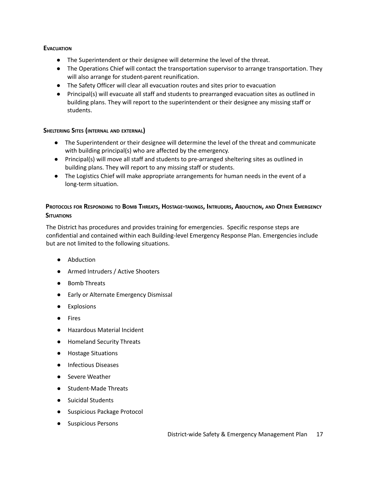### **EVACUATION**

- The Superintendent or their designee will determine the level of the threat.
- The Operations Chief will contact the transportation supervisor to arrange transportation. They will also arrange for student-parent reunification.
- The Safety Officer will clear all evacuation routes and sites prior to evacuation
- Principal(s) will evacuate all staff and students to prearranged evacuation sites as outlined in building plans. They will report to the superintendent or their designee any missing staff or students.

#### **SHELTERING SITES (INTERNAL AND EXTERNAL)**

- The Superintendent or their designee will determine the level of the threat and communicate with building principal(s) who are affected by the emergency.
- Principal(s) will move all staff and students to pre-arranged sheltering sites as outlined in building plans. They will report to any missing staff or students.
- The Logistics Chief will make appropriate arrangements for human needs in the event of a long-term situation.

## PROTOCOLS FOR RESPONDING TO BOMB THREATS, HOSTAGE-TAKINGS, INTRUDERS, ABDUCTION, AND OTHER EMERGENCY **SITUATIONS**

The District has procedures and provides training for emergencies. Specific response steps are confidential and contained within each Building-level Emergency Response Plan. Emergencies include but are not limited to the following situations.

- Abduction
- Armed Intruders / Active Shooters
- Bomb Threats
- Early or Alternate Emergency Dismissal
- Explosions
- Fires
- Hazardous Material Incident
- Homeland Security Threats
- Hostage Situations
- Infectious Diseases
- Severe Weather
- Student-Made Threats
- Suicidal Students
- Suspicious Package Protocol
- Suspicious Persons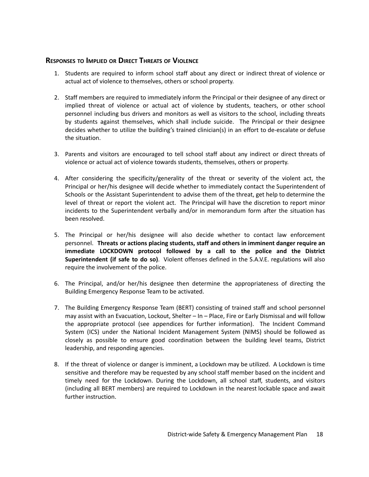## **RESPONSES TO IMPLIED OR DIRECT THREATS OF VIOLENCE**

- 1. Students are required to inform school staff about any direct or indirect threat of violence or actual act of violence to themselves, others or school property.
- 2. Staff members are required to immediately inform the Principal or their designee of any direct or implied threat of violence or actual act of violence by students, teachers, or other school personnel including bus drivers and monitors as well as visitors to the school, including threats by students against themselves, which shall include suicide. The Principal or their designee decides whether to utilize the building's trained clinician(s) in an effort to de-escalate or defuse the situation.
- 3. Parents and visitors are encouraged to tell school staff about any indirect or direct threats of violence or actual act of violence towards students, themselves, others or property.
- 4. After considering the specificity/generality of the threat or severity of the violent act, the Principal or her/his designee will decide whether to immediately contact the Superintendent of Schools or the Assistant Superintendent to advise them of the threat, get help to determine the level of threat or report the violent act. The Principal will have the discretion to report minor incidents to the Superintendent verbally and/or in memorandum form after the situation has been resolved.
- 5. The Principal or her/his designee will also decide whether to contact law enforcement personnel. **Threats or actions placing students, staff and others in imminent danger require an immediate LOCKDOWN protocol followed by a call to the police and the District Superintendent (if safe to do so)**. Violent offenses defined in the S.A.V.E. regulations will also require the involvement of the police.
- 6. The Principal, and/or her/his designee then determine the appropriateness of directing the Building Emergency Response Team to be activated.
- 7. The Building Emergency Response Team (BERT) consisting of trained staff and school personnel may assist with an Evacuation, Lockout, Shelter – In – Place, Fire or Early Dismissal and will follow the appropriate protocol (see appendices for further information). The Incident Command System (ICS) under the National Incident Management System (NIMS) should be followed as closely as possible to ensure good coordination between the building level teams, District leadership, and responding agencies.
- 8. If the threat of violence or danger is imminent, a Lockdown may be utilized. A Lockdown is time sensitive and therefore may be requested by any school staff member based on the incident and timely need for the Lockdown. During the Lockdown, all school staff, students, and visitors (including all BERT members) are required to Lockdown in the nearest lockable space and await further instruction.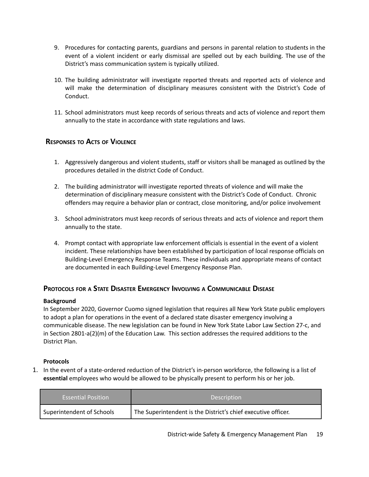- 9. Procedures for contacting parents, guardians and persons in parental relation to students in the event of a violent incident or early dismissal are spelled out by each building. The use of the District's mass communication system is typically utilized.
- 10. The building administrator will investigate reported threats and reported acts of violence and will make the determination of disciplinary measures consistent with the District's Code of Conduct.
- 11. School administrators must keep records of serious threats and acts of violence and report them annually to the state in accordance with state regulations and laws.

## **RESPONSES TO ACTS OF VIOLENCE**

- 1. Aggressively dangerous and violent students, staff or visitors shall be managed as outlined by the procedures detailed in the district Code of Conduct.
- 2. The building administrator will investigate reported threats of violence and will make the determination of disciplinary measure consistent with the District's Code of Conduct. Chronic offenders may require a behavior plan or contract, close monitoring, and/or police involvement
- 3. School administrators must keep records of serious threats and acts of violence and report them annually to the state.
- 4. Prompt contact with appropriate law enforcement officials is essential in the event of a violent incident. These relationships have been established by participation of local response officials on Building-Level Emergency Response Teams. These individuals and appropriate means of contact are documented in each Building-Level Emergency Response Plan.

## **PROTOCOLS FOR A STATE DISASTER EMERGENCY INVOLVING A COMMUNICABLE DISEASE**

#### **Background**

In September 2020, Governor Cuomo signed legislation that requires all New York State public employers to adopt a plan for operations in the event of a declared state disaster emergency involving a communicable disease. The new legislation can be found in New York State Labor Law Section 27-c, and in Section 2801-a(2)(m) of the Education Law. This section addresses the required additions to the District Plan.

#### **Protocols**

1. In the event of a state-ordered reduction of the District's in-person workforce, the following is a list of **essential** employees who would be allowed to be physically present to perform his or her job.

| <b>Essential Position</b>                                                                  | <b>Description</b> |
|--------------------------------------------------------------------------------------------|--------------------|
| The Superintendent is the District's chief executive officer.<br>Superintendent of Schools |                    |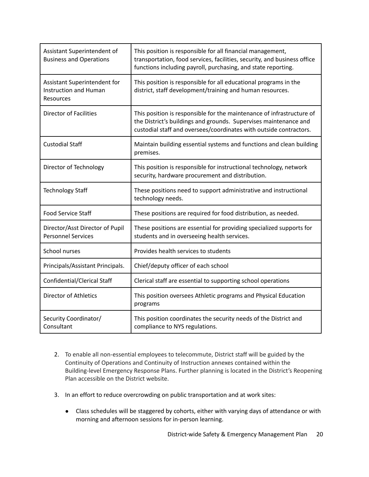| Assistant Superintendent of<br><b>Business and Operations</b>             | This position is responsible for all financial management,<br>transportation, food services, facilities, security, and business office<br>functions including payroll, purchasing, and state reporting.         |
|---------------------------------------------------------------------------|-----------------------------------------------------------------------------------------------------------------------------------------------------------------------------------------------------------------|
| Assistant Superintendent for<br><b>Instruction and Human</b><br>Resources | This position is responsible for all educational programs in the<br>district, staff development/training and human resources.                                                                                   |
| <b>Director of Facilities</b>                                             | This position is responsible for the maintenance of infrastructure of<br>the District's buildings and grounds. Supervises maintenance and<br>custodial staff and oversees/coordinates with outside contractors. |
| <b>Custodial Staff</b>                                                    | Maintain building essential systems and functions and clean building<br>premises.                                                                                                                               |
| Director of Technology                                                    | This position is responsible for instructional technology, network<br>security, hardware procurement and distribution.                                                                                          |
| <b>Technology Staff</b>                                                   | These positions need to support administrative and instructional<br>technology needs.                                                                                                                           |
| <b>Food Service Staff</b>                                                 | These positions are required for food distribution, as needed.                                                                                                                                                  |
| Director/Asst Director of Pupil<br><b>Personnel Services</b>              | These positions are essential for providing specialized supports for<br>students and in overseeing health services.                                                                                             |
| School nurses                                                             | Provides health services to students                                                                                                                                                                            |
| Principals/Assistant Principals.                                          | Chief/deputy officer of each school                                                                                                                                                                             |
| <b>Confidential/Clerical Staff</b>                                        | Clerical staff are essential to supporting school operations                                                                                                                                                    |
| <b>Director of Athletics</b>                                              | This position oversees Athletic programs and Physical Education<br>programs                                                                                                                                     |
| Security Coordinator/<br>Consultant                                       | This position coordinates the security needs of the District and<br>compliance to NYS regulations.                                                                                                              |

- 2. To enable all non-essential employees to telecommute, District staff will be guided by the Continuity of Operations and Continuity of Instruction annexes contained within the Building-level Emergency Response Plans. Further planning is located in the District's Reopening Plan accessible on the District website.
- 3. In an effort to reduce overcrowding on public transportation and at work sites:
	- Class schedules will be staggered by cohorts, either with varying days of attendance or with morning and afternoon sessions for in-person learning.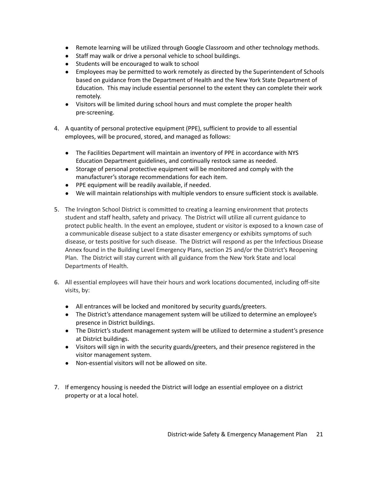- Remote learning will be utilized through Google Classroom and other technology methods.
- Staff may walk or drive a personal vehicle to school buildings.
- Students will be encouraged to walk to school
- Employees may be permitted to work remotely as directed by the Superintendent of Schools based on guidance from the Department of Health and the New York State Department of Education. This may include essential personnel to the extent they can complete their work remotely.
- Visitors will be limited during school hours and must complete the proper health pre-screening.
- 4. A quantity of personal protective equipment (PPE), sufficient to provide to all essential employees, will be procured, stored, and managed as follows:
	- The Facilities Department will maintain an inventory of PPE in accordance with NYS Education Department guidelines, and continually restock same as needed.
	- Storage of personal protective equipment will be monitored and comply with the manufacturer's storage recommendations for each item.
	- PPE equipment will be readily available, if needed.
	- We will maintain relationships with multiple vendors to ensure sufficient stock is available.
- 5. The Irvington School District is committed to creating a learning environment that protects student and staff health, safety and privacy. The District will utilize all current guidance to protect public health. In the event an employee, student or visitor is exposed to a known case of a communicable disease subject to a state disaster emergency or exhibits symptoms of such disease, or tests positive for such disease. The District will respond as per the Infectious Disease Annex found in the Building Level Emergency Plans, section 25 and/or the District's Reopening Plan. The District will stay current with all guidance from the New York State and local Departments of Health.
- 6. All essential employees will have their hours and work locations documented, including off-site visits, by:
	- All entrances will be locked and monitored by security guards/greeters.
	- The District's attendance management system will be utilized to determine an employee's presence in District buildings.
	- The District's student management system will be utilized to determine a student's presence at District buildings.
	- Visitors will sign in with the security guards/greeters, and their presence registered in the visitor management system.
	- Non-essential visitors will not be allowed on site.
- 7. If emergency housing is needed the District will lodge an essential employee on a district property or at a local hotel.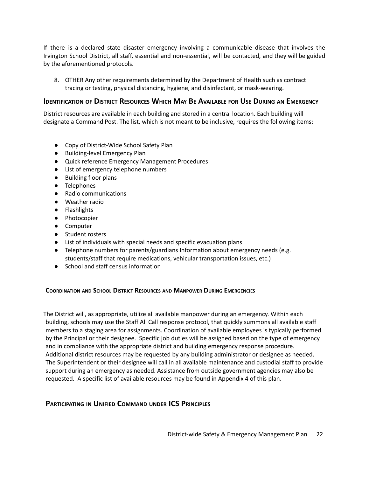If there is a declared state disaster emergency involving a communicable disease that involves the Irvington School District, all staff, essential and non-essential, will be contacted, and they will be guided by the aforementioned protocols.

8. OTHER Any other requirements determined by the Department of Health such as contract tracing or testing, physical distancing, hygiene, and disinfectant, or mask-wearing.

## **IDENTIFICATION OF DISTRICT RESOURCES WHICH MAY BE AVAILABLE FOR USE DURING AN EMERGENCY**

District resources are available in each building and stored in a central location. Each building will designate a Command Post. The list, which is not meant to be inclusive, requires the following items:

- Copy of District-Wide School Safety Plan
- Building-level Emergency Plan
- Quick reference Emergency Management Procedures
- List of emergency telephone numbers
- Building floor plans
- Telephones
- Radio communications
- Weather radio
- Flashlights
- Photocopier
- Computer
- Student rosters
- List of individuals with special needs and specific evacuation plans
- Telephone numbers for parents/guardians Information about emergency needs (e.g. students/staff that require medications, vehicular transportation issues, etc.)
- School and staff census information

#### **COORDINATION AND SCHOOL DISTRICT RESOURCES AND MANPOWER DURING EMERGENCIES**

The District will, as appropriate, utilize all available manpower during an emergency. Within each building, schools may use the Staff All Call response protocol, that quickly summons all available staff members to a staging area for assignments. Coordination of available employees is typically performed by the Principal or their designee. Specific job duties will be assigned based on the type of emergency and in compliance with the appropriate district and building emergency response procedure. Additional district resources may be requested by any building administrator or designee as needed. The Superintendent or their designee will call in all available maintenance and custodial staff to provide support during an emergency as needed. Assistance from outside government agencies may also be requested. A specific list of available resources may be found in Appendix 4 of this plan.

## **PARTICIPATING IN UNIFIED COMMAND UNDER ICS PRINCIPLES**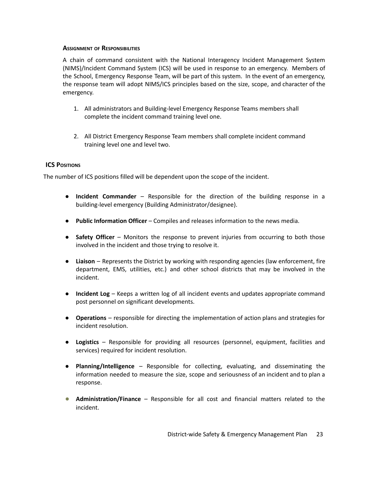#### **ASSIGNMENT OF RESPONSIBILITIES**

A chain of command consistent with the National Interagency Incident Management System (NIMS)/Incident Command System (ICS) will be used in response to an emergency. Members of the School, Emergency Response Team, will be part of this system. In the event of an emergency, the response team will adopt NIMS/ICS principles based on the size, scope, and character of the emergency.

- 1. All administrators and Building-level Emergency Response Teams members shall complete the incident command training level one.
- 2. All District Emergency Response Team members shall complete incident command training level one and level two.

#### **ICS POSITIONS**

The number of ICS positions filled will be dependent upon the scope of the incident.

- **Incident Commander** Responsible for the direction of the building response in a building-level emergency (Building Administrator/designee).
- **Public Information Officer** Compiles and releases information to the news media.
- **Safety Officer** Monitors the response to prevent injuries from occurring to both those involved in the incident and those trying to resolve it.
- **Liaison** Represents the District by working with responding agencies (law enforcement, fire department, EMS, utilities, etc.) and other school districts that may be involved in the incident.
- **Incident Log** Keeps a written log of all incident events and updates appropriate command post personnel on significant developments.
- **Operations** responsible for directing the implementation of action plans and strategies for incident resolution.
- **Logistics** Responsible for providing all resources (personnel, equipment, facilities and services) required for incident resolution.
- **Planning/Intelligence** Responsible for collecting, evaluating, and disseminating the information needed to measure the size, scope and seriousness of an incident and to plan a response.
- **Administration/Finance** Responsible for all cost and financial matters related to the incident.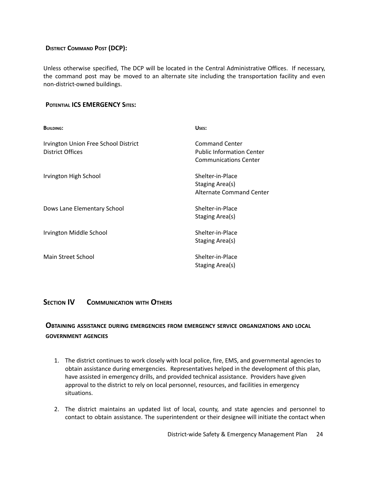## **DISTRICT COMMAND POST (DCP):**

Unless otherwise specified, The DCP will be located in the Central Administrative Offices. If necessary, the command post may be moved to an alternate site including the transportation facility and even non-district-owned buildings.

#### **POTENTIAL ICS EMERGENCY SITES:**

| <b>BUILDING:</b>                                         | USES:                                                                                     |
|----------------------------------------------------------|-------------------------------------------------------------------------------------------|
| Irvington Union Free School District<br>District Offices | <b>Command Center</b><br><b>Public Information Center</b><br><b>Communications Center</b> |
| Irvington High School                                    | Shelter-in-Place<br>Staging Area(s)<br>Alternate Command Center                           |
| Dows Lane Elementary School                              | Shelter-in-Place<br>Staging Area(s)                                                       |
| Irvington Middle School                                  | Shelter-in-Place<br>Staging Area(s)                                                       |
| Main Street School                                       | Shelter-in-Place<br>Staging Area(s)                                                       |

## **SECTION IV COMMUNICATION WITH OTHERS**

## **OBTAINING ASSISTANCE DURING EMERGENCIES FROM EMERGENCY SERVICE ORGANIZATIONS AND LOCAL GOVERNMENT AGENCIES**

- 1. The district continues to work closely with local police, fire, EMS, and governmental agencies to obtain assistance during emergencies. Representatives helped in the development of this plan, have assisted in emergency drills, and provided technical assistance. Providers have given approval to the district to rely on local personnel, resources, and facilities in emergency situations.
- 2. The district maintains an updated list of local, county, and state agencies and personnel to contact to obtain assistance. The superintendent or their designee will initiate the contact when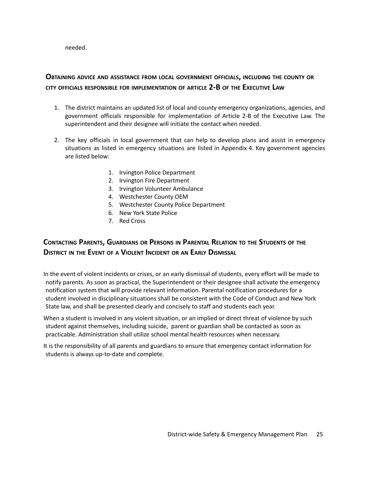needed.

## **OBTAINING ADVICE AND ASSISTANCE FROM LOCAL GOVERNMENT OFFICIALS, INCLUDING THE COUNTY OR CITY OFFICIALS RESPONSIBLE FOR IMPLEMENTATION OF ARTICLE 2-B OF THE EXECUTIVE LAW**

- 1. The district maintains an updated list of local and county emergency organizations, agencies, and government officials responsible for implementation of Article 2-B of the Executive Law. The superintendent and their designee will initiate the contact when needed.
- 2. The key officials in local government that can help to develop plans and assist in emergency situations as listed in emergency situations are listed in Appendix 4. Key government agencies are listed below:
	- 1. Irvington Police Department
	- 2. Irvington Fire Department
	- 3. Irvington Volunteer Ambulance
	- 4. Westchester County OEM
	- 5. Westchester County Police Department
	- 6. New York State Police
	- 7. Red Cross

# CONTACTING PARENTS, GUARDIANS OR PERSONS IN PARENTAL RELATION TO THE STUDENTS OF THE **DISTRICT IN THE EVENT OF A VIOLENT INCIDENT OR AN EARLY DISMISSAL**

In the event of violent incidents or crises, or an early dismissal of students, every effort will be made to notify parents. As soon as practical, the Superintendent or their designee shall activate the emergency notification system that will provide relevant information. Parental notification procedures for a student involved in disciplinary situations shall be consistent with the Code of Conduct and New York State law, and shall be presented clearly and concisely to staff and students each year.

When a student is involved in any violent situation, or an implied or direct threat of violence by such student against themselves, including suicide, parent or guardian shall be contacted as soon as practicable. Administration shall utilize school mental health resources when necessary.

It is the responsibility of all parents and guardians to ensure that emergency contact information for students is always up-to-date and complete.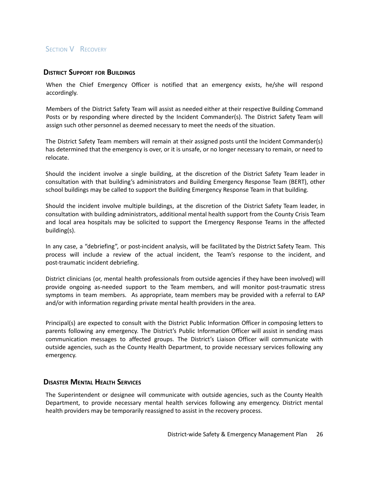## **SECTION V RECOVERY**

### **DISTRICT SUPPORT FOR BUILDINGS**

When the Chief Emergency Officer is notified that an emergency exists, he/she will respond accordingly.

Members of the District Safety Team will assist as needed either at their respective Building Command Posts or by responding where directed by the Incident Commander(s). The District Safety Team will assign such other personnel as deemed necessary to meet the needs of the situation.

The District Safety Team members will remain at their assigned posts until the Incident Commander(s) has determined that the emergency is over, or it is unsafe, or no longer necessary to remain, or need to relocate.

Should the incident involve a single building, at the discretion of the District Safety Team leader in consultation with that building's administrators and Building Emergency Response Team (BERT), other school buildings may be called to support the Building Emergency Response Team in that building.

Should the incident involve multiple buildings, at the discretion of the District Safety Team leader, in consultation with building administrators, additional mental health support from the County Crisis Team and local area hospitals may be solicited to support the Emergency Response Teams in the affected building(s).

In any case, a "debriefing", or post-incident analysis, will be facilitated by the District Safety Team. This process will include a review of the actual incident, the Team's response to the incident, and post-traumatic incident debriefing.

District clinicians (or, mental health professionals from outside agencies if they have been involved) will provide ongoing as-needed support to the Team members, and will monitor post-traumatic stress symptoms in team members. As appropriate, team members may be provided with a referral to EAP and/or with information regarding private mental health providers in the area.

Principal(s) are expected to consult with the District Public Information Officer in composing letters to parents following any emergency. The District's Public Information Officer will assist in sending mass communication messages to affected groups. The District's Liaison Officer will communicate with outside agencies, such as the County Health Department, to provide necessary services following any emergency.

## **DISASTER MENTAL HEALTH SERVICES**

The Superintendent or designee will communicate with outside agencies, such as the County Health Department, to provide necessary mental health services following any emergency. District mental health providers may be temporarily reassigned to assist in the recovery process.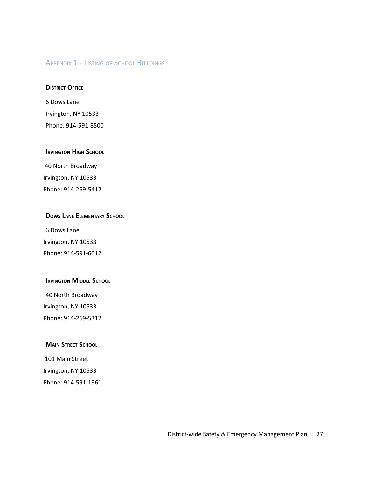## **APPENDIX 1 - LISTING OF SCHOOL BUILDINGS**

#### **DISTRICT OFFICE**

6 Dows Lane Irvington, NY 10533 Phone: 914-591-8500

#### **IRVINGTON HIGH SCHOOL**

40 North Broadway Irvington, NY 10533 Phone: 914-269-5412

## **DOWS LANE ELEMENTARY SCHOOL**

6 Dows Lane Irvington, NY 10533 Phone: 914-591-6012

#### **IRVINGTON MIDDLE SCHOOL**

40 North Broadway Irvington, NY 10533 Phone: 914-269-5312

### **MAIN STREET SCHOOL**

101 Main Street Irvington, NY 10533 Phone: 914-591-1961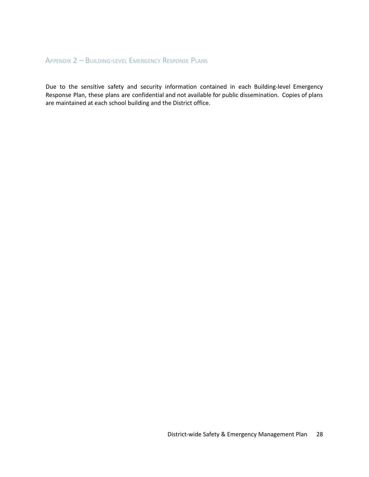# APPENDIX 2 – BUILDING-LEVEL EMERGENCY RESPONSE PLANS

Due to the sensitive safety and security information contained in each Building-level Emergency Response Plan, these plans are confidential and not available for public dissemination. Copies of plans are maintained at each school building and the District office.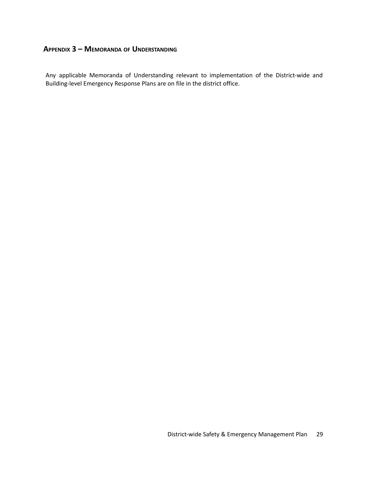## **APPENDIX 3 – MEMORANDA OF UNDERSTANDING**

Any applicable Memoranda of Understanding relevant to implementation of the District-wide and Building-level Emergency Response Plans are on file in the district office.